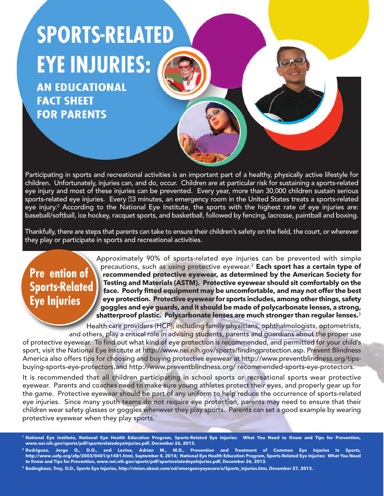# **SPORTS-RELATED EYE INJURIES:**

**AN EDUCATIONAL FACT SHEET FOR PARENTS** 

Participating in sports and recreational activities is an important part of a healthy, physically active lifestyle for children. Unfortunately, injuries can, and do, occur. Children are at particular risk for sustaining a sports-related eye injury and most of these injuries can be prevented. Every year, more than 30,000 children sustain serious sports-related eye injuries. Every #3 minutes, an emergency room in the United States treats a sports-related eye injury.<sup>®</sup> According to the National Eye Institute, the sports with the highest rate of eye injuries are: baseball/softball, ice hockey, racquet sports, and basketball, followed by fencing, lacrosse, paintball and boxing.

Thankfully, there are steps that parents can take to ensure their children's safety on the field, the court, or wherever they play or participate in sports and recreational activities.

#### **Pre** ention of **Sports-Related Eye Injuries**

Approximately 90% of sports-related eye injuries can be prevented with simple precautions, such as using protective eyewear.2 **Each sport has a certain type of recommended protective eyewear, as determined by the American Society for Testing and Materials (ASTM). Protective eyewear should sit comfortably on the face. Poorly fitted equipment may be uncomfortable, and may not offer the best eye protection. Protective eyewear for sports includes, among other things, safety goggles and eye guards, and it should be made of polycarbonate lenses, a strong, shatterproof plastic. Polycarbonate lenses are much stronger than regular lenses.**<sup>3</sup>

Health care providers (HCP), including family physicians, ophthalmologists, optometrists, and others, play a critical role in advising students, parents and quardians about the proper use

of protective eyewear. To find out what kind of eye protection is recommended, and permitted for your child's sport, visit the National Eye Institute at http://www.nei.nih.gov/sports/findingprotection.asp. Prevent Blindness America also offers tips for choosing and buying protective eyewear at http://www.preventblindness.org/tipsbuying-sports-eye-protectors,and http://www.preventblindness.org/ recommended-sports-eye-protectors.

It is recommended that all children participating in school sports or recreational sports wear protective eyewear. Parents and coaches need to make sure young athletes protect their eyes, and properly gear up for the game. Protective eyewear should be part of any uniform to help reduce the occurrence of sports-related eye injuries. Since many youth teams do not require eye protection, parents may need to ensure that their children wear safety glasses or goggles whenever they play sports. Parents can set a good example by wearing protective eyewear when they play sports.

- **<sup>1</sup> National Eye Institute, National Eye Health Education Program, Sports-Related Eye Injuries: What You Need to Know and Tips for Prevention, www.nei.nih.gov/sports/pdf/sportsrelatedeyeInjuries.pdf, December 26, 2013.**
- **<sup>2</sup> Rodriguez, Jorge O., D.O., and Lavina, Adrian M., M.D., Prevention and Treatment of Common Eye Injuries in Sports, http://www.aafp.org/afp/2003/0401/p1481.html, September 4, 2014; National Eye Health Education Program, Sports-Related Eye Injuries: What You Need to Know and Tips for Prevention, www.nei.nih.gov/sports/pdf/sportsrelatedeyeInjuries.pdf, December 26, 2013.**
- **<sup>3</sup> Bedinghaus, Troy, O.D., Sports Eye Injuries, http://vision.about.com/od/emergencyeyecare/a/Sports\_Injuries.htm, December 27, 2013.**